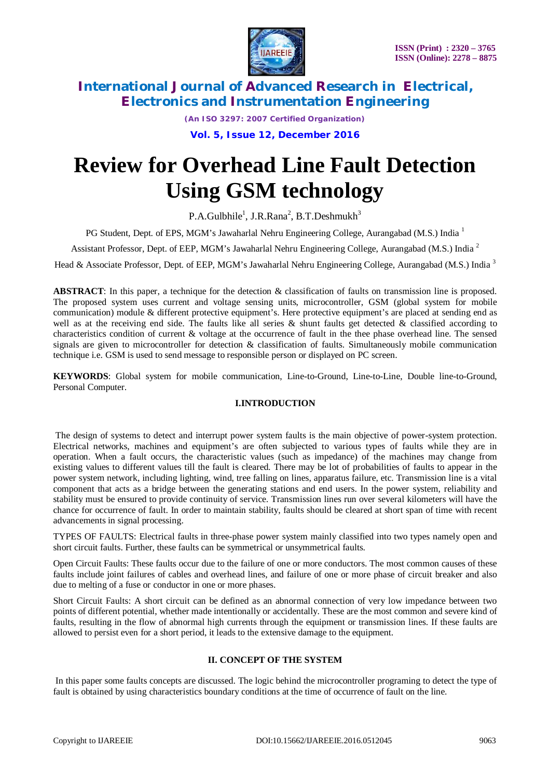

*(An ISO 3297: 2007 Certified Organization)*

**Vol. 5, Issue 12, December 2016**

# **Review for Overhead Line Fault Detection Using GSM technology**

P.A.Gulbhile<sup>1</sup>, J.R.Rana<sup>2</sup>, B.T.Deshmukh<sup>3</sup>

PG Student, Dept. of EPS, MGM's Jawaharlal Nehru Engineering College, Aurangabad (M.S.) India <sup>1</sup>

Assistant Professor, Dept. of EEP, MGM's Jawaharlal Nehru Engineering College, Aurangabad (M.S.) India <sup>2</sup>

Head & Associate Professor, Dept. of EEP, MGM's Jawaharlal Nehru Engineering College, Aurangabad (M.S.) India<sup>3</sup>

**ABSTRACT**: In this paper, a technique for the detection & classification of faults on transmission line is proposed. The proposed system uses current and voltage sensing units, microcontroller, GSM (global system for mobile communication) module & different protective equipment's. Here protective equipment's are placed at sending end as well as at the receiving end side. The faults like all series  $\&$  shunt faults get detected  $\&$  classified according to characteristics condition of current & voltage at the occurrence of fault in the thee phase overhead line. The sensed signals are given to microcontroller for detection & classification of faults. Simultaneously mobile communication technique i.e. GSM is used to send message to responsible person or displayed on PC screen.

**KEYWORDS**: Global system for mobile communication, Line-to-Ground, Line-to-Line, Double line-to-Ground, Personal Computer.

### **I.INTRODUCTION**

The design of systems to detect and interrupt power system faults is the main objective of power-system protection. Electrical networks, machines and equipment's are often subjected to various types of faults while they are in operation. When a fault occurs, the characteristic values (such as impedance) of the machines may change from existing values to different values till the fault is cleared. There may be lot of probabilities of faults to appear in the power system network, including lighting, wind, tree falling on lines, apparatus failure, etc. Transmission line is a vital component that acts as a bridge between the generating stations and end users. In the power system, reliability and stability must be ensured to provide continuity of service. Transmission lines run over several kilometers will have the chance for occurrence of fault. In order to maintain stability, faults should be cleared at short span of time with recent advancements in signal processing.

TYPES OF FAULTS: Electrical faults in three-phase power system mainly classified into two types namely open and short circuit faults. Further, these faults can be symmetrical or unsymmetrical faults.

Open Circuit Faults: These faults occur due to the failure of one or more conductors. The most common causes of these faults include joint failures of cables and overhead lines, and failure of one or more phase of circuit breaker and also due to melting of a fuse or conductor in one or more phases.

Short Circuit Faults: A short circuit can be defined as an abnormal connection of very low impedance between two points of different potential, whether made intentionally or accidentally. These are the most common and severe kind of faults, resulting in the flow of abnormal high currents through the equipment or transmission lines. If these faults are allowed to persist even for a short period, it leads to the extensive damage to the equipment.

### **II. CONCEPT OF THE SYSTEM**

In this paper some faults concepts are discussed. The logic behind the microcontroller programing to detect the type of fault is obtained by using characteristics boundary conditions at the time of occurrence of fault on the line.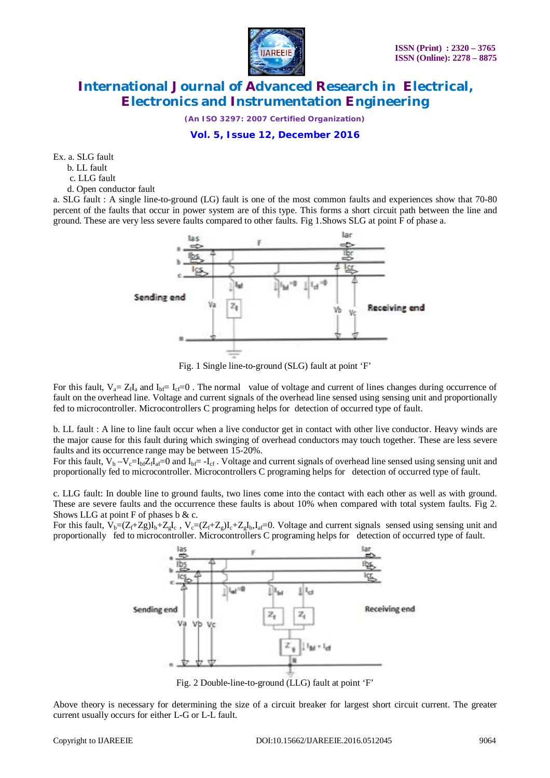

*(An ISO 3297: 2007 Certified Organization)*

**Vol. 5, Issue 12, December 2016**

Ex. a. SLG fault

b. LL fault

c. LLG fault

d. Open conductor fault

a. SLG fault : A single line-to-ground (LG) fault is one of the most common faults and experiences show that 70-80 percent of the faults that occur in power system are of this type. This forms a short circuit path between the line and ground. These are very less severe faults compared to other faults. Fig 1.Shows SLG at point F of phase a.



Fig. 1 Single line-to-ground (SLG) fault at point 'F'

For this fault,  $V_a = Z_f I_a$  and  $I_{bf} = I_{cf} = 0$ . The normal value of voltage and current of lines changes during occurrence of fault on the overhead line. Voltage and current signals of the overhead line sensed using sensing unit and proportionally fed to microcontroller. Microcontrollers C programing helps for detection of occurred type of fault.

b. LL fault : A line to line fault occur when a live conductor get in contact with other live conductor. Heavy winds are the major cause for this fault during which swinging of overhead conductors may touch together. These are less severe faults and its occurrence range may be between 15-20%.

For this fault,  $V_b - V_c = I_b Z_f I_a = 0$  and  $I_b = -I_c$ . Voltage and current signals of overhead line sensed using sensing unit and proportionally fed to microcontroller. Microcontrollers C programing helps for detection of occurred type of fault.

c. LLG fault: In double line to ground faults, two lines come into the contact with each other as well as with ground. These are severe faults and the occurrence these faults is about 10% when compared with total system faults. Fig 2. Shows LLG at point  $F$  of phases b & c.

For this fault,  $V_b = (Z_f + Z_g)I_b + Z_gI_c$ ,  $V_c = (Z_f + Z_g)I_c + Z_gI_b$ ,  $I_a = 0$ . Voltage and current signals sensed using sensing unit and proportionally fed to microcontroller. Microcontrollers C programing helps for detection of occurred type of fault.



Fig. 2 Double-line-to-ground (LLG) fault at point 'F'

Above theory is necessary for determining the size of a circuit breaker for largest short circuit current. The greater current usually occurs for either L-G or L-L fault.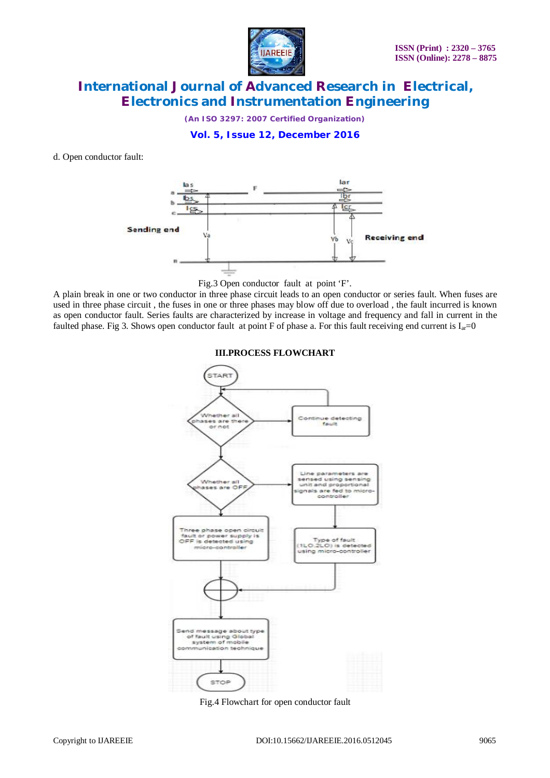

*(An ISO 3297: 2007 Certified Organization)*

**Vol. 5, Issue 12, December 2016**

d. Open conductor fault:



Fig.3 Open conductor fault at point 'F'.

A plain break in one or two conductor in three phase circuit leads to an open conductor or series fault. When fuses are used in three phase circuit , the fuses in one or three phases may blow off due to overload , the fault incurred is known as open conductor fault. Series faults are characterized by increase in voltage and frequency and fall in current in the faulted phase. Fig 3. Shows open conductor fault at point F of phase a. For this fault receiving end current is  $I_{ar}=0$ 





Fig.4 Flowchart for open conductor fault